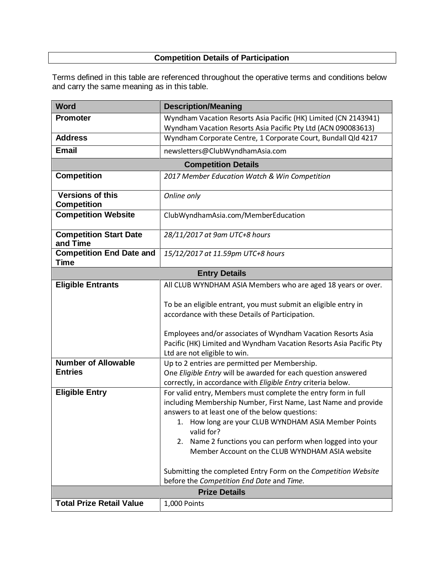# **Competition Details of Participation**

Terms defined in this table are referenced throughout the operative terms and conditions below and carry the same meaning as in this table.

| <b>Word</b>                                    | <b>Description/Meaning</b>                                                                                                                                                                                                                                                                                                                                                  |  |
|------------------------------------------------|-----------------------------------------------------------------------------------------------------------------------------------------------------------------------------------------------------------------------------------------------------------------------------------------------------------------------------------------------------------------------------|--|
| <b>Promoter</b>                                | Wyndham Vacation Resorts Asia Pacific (HK) Limited (CN 2143941)<br>Wyndham Vacation Resorts Asia Pacific Pty Ltd (ACN 090083613)                                                                                                                                                                                                                                            |  |
| <b>Address</b>                                 | Wyndham Corporate Centre, 1 Corporate Court, Bundall Qld 4217                                                                                                                                                                                                                                                                                                               |  |
| <b>Email</b>                                   | newsletters@ClubWyndhamAsia.com                                                                                                                                                                                                                                                                                                                                             |  |
| <b>Competition Details</b>                     |                                                                                                                                                                                                                                                                                                                                                                             |  |
| <b>Competition</b>                             | 2017 Member Education Watch & Win Competition                                                                                                                                                                                                                                                                                                                               |  |
| <b>Versions of this</b><br><b>Competition</b>  | Online only                                                                                                                                                                                                                                                                                                                                                                 |  |
| <b>Competition Website</b>                     | ClubWyndhamAsia.com/MemberEducation                                                                                                                                                                                                                                                                                                                                         |  |
| <b>Competition Start Date</b><br>and Time      | 28/11/2017 at 9am UTC+8 hours                                                                                                                                                                                                                                                                                                                                               |  |
| <b>Competition End Date and</b><br><b>Time</b> | 15/12/2017 at 11.59pm UTC+8 hours                                                                                                                                                                                                                                                                                                                                           |  |
| <b>Entry Details</b>                           |                                                                                                                                                                                                                                                                                                                                                                             |  |
| <b>Eligible Entrants</b>                       | All CLUB WYNDHAM ASIA Members who are aged 18 years or over.                                                                                                                                                                                                                                                                                                                |  |
|                                                | To be an eligible entrant, you must submit an eligible entry in<br>accordance with these Details of Participation.<br>Employees and/or associates of Wyndham Vacation Resorts Asia<br>Pacific (HK) Limited and Wyndham Vacation Resorts Asia Pacific Pty<br>Ltd are not eligible to win.                                                                                    |  |
| <b>Number of Allowable</b><br><b>Entries</b>   | Up to 2 entries are permitted per Membership.<br>One Eligible Entry will be awarded for each question answered<br>correctly, in accordance with Eligible Entry criteria below.                                                                                                                                                                                              |  |
| <b>Eligible Entry</b>                          | For valid entry, Members must complete the entry form in full<br>including Membership Number, First Name, Last Name and provide<br>answers to at least one of the below questions:<br>1. How long are your CLUB WYNDHAM ASIA Member Points<br>valid for?<br>Name 2 functions you can perform when logged into your<br>2.<br>Member Account on the CLUB WYNDHAM ASIA website |  |
|                                                | Submitting the completed Entry Form on the Competition Website<br>before the Competition End Date and Time.                                                                                                                                                                                                                                                                 |  |
| <b>Prize Details</b>                           |                                                                                                                                                                                                                                                                                                                                                                             |  |
| <b>Total Prize Retail Value</b>                | 1,000 Points                                                                                                                                                                                                                                                                                                                                                                |  |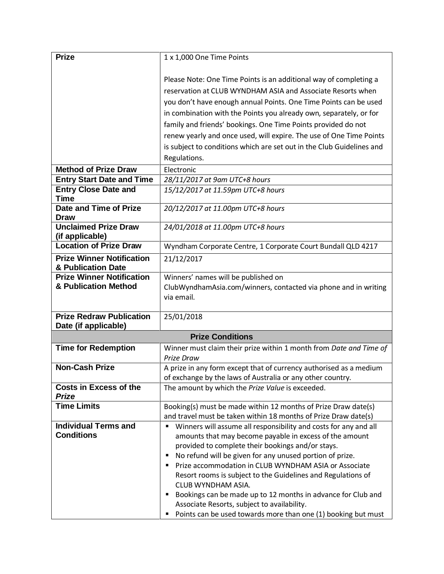| <b>Prize</b>                                           | 1 x 1,000 One Time Points                                                                                      |  |
|--------------------------------------------------------|----------------------------------------------------------------------------------------------------------------|--|
|                                                        |                                                                                                                |  |
|                                                        | Please Note: One Time Points is an additional way of completing a                                              |  |
|                                                        | reservation at CLUB WYNDHAM ASIA and Associate Resorts when                                                    |  |
|                                                        | you don't have enough annual Points. One Time Points can be used                                               |  |
|                                                        | in combination with the Points you already own, separately, or for                                             |  |
|                                                        | family and friends' bookings. One Time Points provided do not                                                  |  |
|                                                        | renew yearly and once used, will expire. The use of One Time Points                                            |  |
|                                                        | is subject to conditions which are set out in the Club Guidelines and                                          |  |
|                                                        | Regulations.                                                                                                   |  |
|                                                        |                                                                                                                |  |
| <b>Method of Prize Draw</b>                            | Electronic                                                                                                     |  |
| <b>Entry Start Date and Time</b>                       | 28/11/2017 at 9am UTC+8 hours                                                                                  |  |
| <b>Entry Close Date and</b><br><b>Time</b>             | 15/12/2017 at 11.59pm UTC+8 hours                                                                              |  |
| Date and Time of Prize                                 | 20/12/2017 at 11.00pm UTC+8 hours                                                                              |  |
| <b>Draw</b>                                            |                                                                                                                |  |
| <b>Unclaimed Prize Draw</b>                            | 24/01/2018 at 11.00pm UTC+8 hours                                                                              |  |
| (if applicable)<br><b>Location of Prize Draw</b>       | Wyndham Corporate Centre, 1 Corporate Court Bundall QLD 4217                                                   |  |
|                                                        |                                                                                                                |  |
| <b>Prize Winner Notification</b><br>& Publication Date | 21/12/2017                                                                                                     |  |
| <b>Prize Winner Notification</b>                       | Winners' names will be published on                                                                            |  |
| & Publication Method                                   | ClubWyndhamAsia.com/winners, contacted via phone and in writing                                                |  |
|                                                        | via email.                                                                                                     |  |
| <b>Prize Redraw Publication</b>                        | 25/01/2018                                                                                                     |  |
| Date (if applicable)                                   |                                                                                                                |  |
| <b>Prize Conditions</b>                                |                                                                                                                |  |
| <b>Time for Redemption</b>                             | Winner must claim their prize within 1 month from Date and Time of                                             |  |
|                                                        | Prize Draw                                                                                                     |  |
| <b>Non-Cash Prize</b>                                  | A prize in any form except that of currency authorised as a medium                                             |  |
| <b>Costs in Excess of the</b>                          | of exchange by the laws of Australia or any other country.<br>The amount by which the Prize Value is exceeded. |  |
| <b>Prize</b>                                           |                                                                                                                |  |
| <b>Time Limits</b>                                     | Booking(s) must be made within 12 months of Prize Draw date(s)                                                 |  |
|                                                        | and travel must be taken within 18 months of Prize Draw date(s)                                                |  |
| <b>Individual Terms and</b>                            | Winners will assume all responsibility and costs for any and all                                               |  |
| <b>Conditions</b>                                      | amounts that may become payable in excess of the amount                                                        |  |
|                                                        | provided to complete their bookings and/or stays.                                                              |  |
|                                                        | No refund will be given for any unused portion of prize.<br>٠                                                  |  |
|                                                        | Prize accommodation in CLUB WYNDHAM ASIA or Associate<br>п                                                     |  |
|                                                        | Resort rooms is subject to the Guidelines and Regulations of<br>CLUB WYNDHAM ASIA.                             |  |
|                                                        | Bookings can be made up to 12 months in advance for Club and<br>п                                              |  |
|                                                        | Associate Resorts, subject to availability.                                                                    |  |
|                                                        | Points can be used towards more than one (1) booking but must<br>٠                                             |  |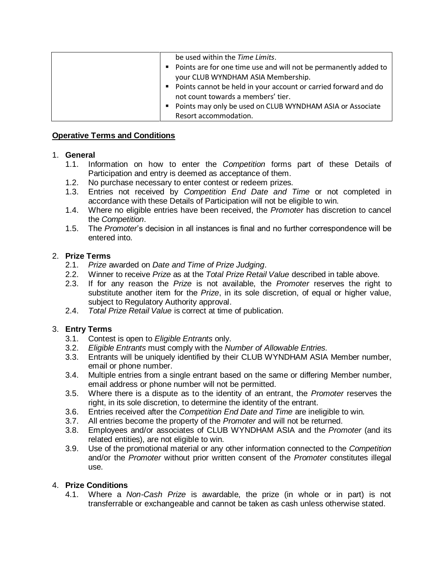| be used within the Time Limits.                                    |
|--------------------------------------------------------------------|
| • Points are for one time use and will not be permanently added to |
| your CLUB WYNDHAM ASIA Membership.                                 |
| • Points cannot be held in your account or carried forward and do  |
| not count towards a members' tier.                                 |
| • Points may only be used on CLUB WYNDHAM ASIA or Associate        |
| Resort accommodation.                                              |

## **Operative Terms and Conditions**

### 1. **General**

- 1.1. Information on how to enter the *Competition* forms part of these Details of Participation and entry is deemed as acceptance of them.
- 1.2. No purchase necessary to enter contest or redeem prizes.
- 1.3. Entries not received by *Competition End Date and Time* or not completed in accordance with these Details of Participation will not be eligible to win.
- 1.4. Where no eligible entries have been received, the *Promoter* has discretion to cancel the *Competition*.
- 1.5. The *Promoter*'s decision in all instances is final and no further correspondence will be entered into.

## 2. **Prize Terms**

- 2.1. *Prize* awarded on *Date and Time of Prize Judging*.
- 2.2. Winner to receive *Prize* as at the *Total Prize Retail Value* described in table above.
- 2.3. If for any reason the *Prize* is not available, the *Promoter* reserves the right to substitute another item for the *Prize*, in its sole discretion, of equal or higher value, subject to Regulatory Authority approval.
- 2.4. *Total Prize Retail Value* is correct at time of publication.

# 3. **Entry Terms**

- 3.1. Contest is open to *Eligible Entrants* only.
- 3.2. *Eligible Entrants* must comply with the *Number of Allowable Entries.*
- 3.3. Entrants will be uniquely identified by their CLUB WYNDHAM ASIA Member number, email or phone number.
- 3.4. Multiple entries from a single entrant based on the same or differing Member number, email address or phone number will not be permitted.
- 3.5. Where there is a dispute as to the identity of an entrant, the *Promoter* reserves the right, in its sole discretion, to determine the identity of the entrant.
- 3.6. Entries received after the *Competition End Date and Time* are ineligible to win.
- 3.7. All entries become the property of the *Promoter* and will not be returned.
- 3.8. Employees and/or associates of CLUB WYNDHAM ASIA and the *Promoter* (and its related entities), are not eligible to win.
- 3.9. Use of the promotional material or any other information connected to the *Competition* and/or the *Promoter* without prior written consent of the *Promoter* constitutes illegal use.

# 4. **Prize Conditions**

4.1. Where a *Non-Cash Prize* is awardable, the prize (in whole or in part) is not transferrable or exchangeable and cannot be taken as cash unless otherwise stated.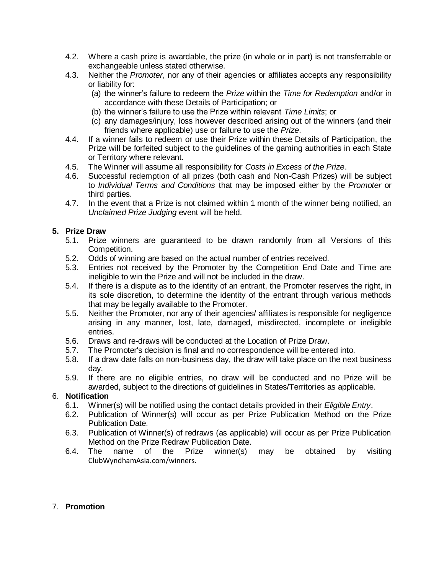- 4.2. Where a cash prize is awardable, the prize (in whole or in part) is not transferrable or exchangeable unless stated otherwise.
- 4.3. Neither the *Promoter*, nor any of their agencies or affiliates accepts any responsibility or liability for:
	- (a) the winner's failure to redeem the *Prize* within the *Time for Redemption* and/or in accordance with these Details of Participation; or
	- (b) the winner's failure to use the Prize within relevant *Time Limits*; or
	- (c) any damages/injury, loss however described arising out of the winners (and their friends where applicable) use or failure to use the *Prize*.
- 4.4. If a winner fails to redeem or use their Prize within these Details of Participation, the Prize will be forfeited subject to the guidelines of the gaming authorities in each State or Territory where relevant.
- 4.5. The Winner will assume all responsibility for *Costs in Excess of the Prize*.
- 4.6. Successful redemption of all prizes (both cash and Non-Cash Prizes) will be subject to *Individual Terms and Conditions* that may be imposed either by the *Promoter* or third parties.
- 4.7. In the event that a Prize is not claimed within 1 month of the winner being notified, an *Unclaimed Prize Judging* event will be held.

# **5. Prize Draw**

- 5.1. Prize winners are guaranteed to be drawn randomly from all Versions of this Competition.
- 5.2. Odds of winning are based on the actual number of entries received.
- 5.3. Entries not received by the Promoter by the Competition End Date and Time are ineligible to win the Prize and will not be included in the draw.
- 5.4. If there is a dispute as to the identity of an entrant, the Promoter reserves the right, in its sole discretion, to determine the identity of the entrant through various methods that may be legally available to the Promoter.
- 5.5. Neither the Promoter, nor any of their agencies/ affiliates is responsible for negligence arising in any manner, lost, late, damaged, misdirected, incomplete or ineligible entries.
- 5.6. Draws and re-draws will be conducted at the Location of Prize Draw.
- 5.7. The Promoter's decision is final and no correspondence will be entered into.
- 5.8. If a draw date falls on non-business day, the draw will take place on the next business day.
- 5.9. If there are no eligible entries, no draw will be conducted and no Prize will be awarded, subject to the directions of guidelines in States/Territories as applicable.

### 6. **Notification**

- 6.1. Winner(s) will be notified using the contact details provided in their *Eligible Entry*.
- 6.2. Publication of Winner(s) will occur as per Prize Publication Method on the Prize Publication Date.
- 6.3. Publication of Winner(s) of redraws (as applicable) will occur as per Prize Publication Method on the Prize Redraw Publication Date.
- 6.4. The name of the Prize winner(s) may be obtained by visiting ClubWyndhamAsia.com/winners.

### 7. **Promotion**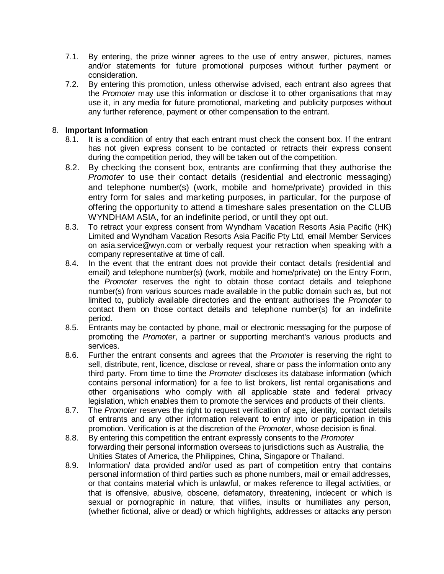- 7.1. By entering, the prize winner agrees to the use of entry answer, pictures, names and/or statements for future promotional purposes without further payment or consideration.
- 7.2. By entering this promotion, unless otherwise advised, each entrant also agrees that the *Promoter* may use this information or disclose it to other organisations that may use it, in any media for future promotional, marketing and publicity purposes without any further reference, payment or other compensation to the entrant.

## 8. **Important Information**

- 8.1. It is a condition of entry that each entrant must check the consent box. If the entrant has not given express consent to be contacted or retracts their express consent during the competition period, they will be taken out of the competition.
- 8.2. By checking the consent box, entrants are confirming that they authorise the *Promoter* to use their contact details (residential and electronic messaging) and telephone number(s) (work, mobile and home/private) provided in this entry form for sales and marketing purposes, in particular, for the purpose of offering the opportunity to attend a timeshare sales presentation on the CLUB WYNDHAM ASIA, for an indefinite period, or until they opt out.
- 8.3. To retract your express consent from Wyndham Vacation Resorts Asia Pacific (HK) Limited and Wyndham Vacation Resorts Asia Pacific Pty Ltd, email Member Services on asia.service@wyn.com or verbally request your retraction when speaking with a company representative at time of call.
- 8.4. In the event that the entrant does not provide their contact details (residential and email) and telephone number(s) (work, mobile and home/private) on the Entry Form, the *Promoter* reserves the right to obtain those contact details and telephone number(s) from various sources made available in the public domain such as, but not limited to, publicly available directories and the entrant authorises the *Promoter* to contact them on those contact details and telephone number(s) for an indefinite period.
- 8.5. Entrants may be contacted by phone, mail or electronic messaging for the purpose of promoting the *Promoter*, a partner or supporting merchant's various products and services.
- 8.6. Further the entrant consents and agrees that the *Promoter* is reserving the right to sell, distribute, rent, licence, disclose or reveal, share or pass the information onto any third party. From time to time the *Promoter* discloses its database information (which contains personal information) for a fee to list brokers, list rental organisations and other organisations who comply with all applicable state and federal privacy legislation, which enables them to promote the services and products of their clients.
- 8.7. The *Promoter* reserves the right to request verification of age, identity, contact details of entrants and any other information relevant to entry into or participation in this promotion. Verification is at the discretion of the *Promoter*, whose decision is final.
- 8.8. By entering this competition the entrant expressly consents to the *Promoter* forwarding their personal information overseas to jurisdictions such as Australia, the Unities States of America, the Philippines, China, Singapore or Thailand.
- 8.9. Information/ data provided and/or used as part of competition entry that contains personal information of third parties such as phone numbers, mail or email addresses, or that contains material which is unlawful, or makes reference to illegal activities, or that is offensive, abusive, obscene, defamatory, threatening, indecent or which is sexual or pornographic in nature, that vilifies, insults or humiliates any person, (whether fictional, alive or dead) or which highlights, addresses or attacks any person